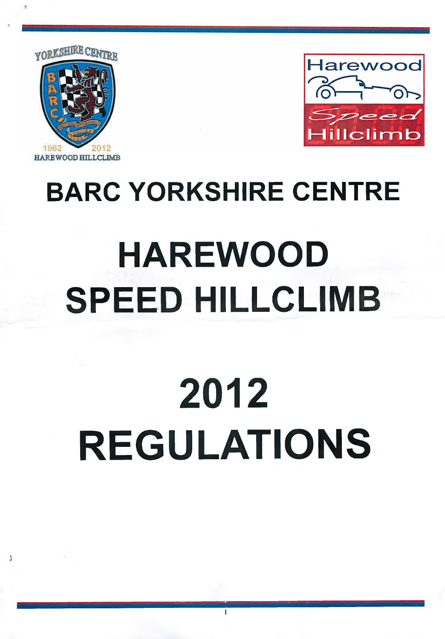



# **HAREWOOD SPEED HILLCLIMB**

**BARC YORKSHIRE CENTRE**

# **2012 REGULATIONS**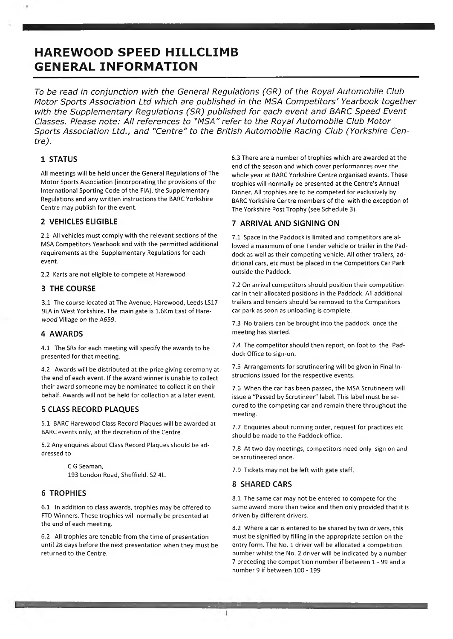# **HAREWOOD SPEED HILLCLIMB GENERAL INFORMATION**

*To be read in conjunction with the General Regulations (GR) of the Royal Automobile Club Motor Sports Association Ltd which are published in the MSA Competitors' Yearbook together with the Supplementary Regulations (SR) published for each event and BARC Speed Event Classes. Please note: All references to "MSA" refer to the Royal Automobile Club Motor Sports Association Ltd., and "Centre" to the British Automobile Racing Club (Yorkshire Centre).*

# **1 STATUS**

All meetings will be held under the General Regulations of The Motor Sports Association (incorporating the provisions of the International Sporting Code of the FIA), the Supplementary Regulations and any written instructions the BARC Yorkshire Centre may publish for the event.

# **2 VEHICLES ELIGIBLE**

2.1 All vehicles must comply with the relevant sections of the MSA Competitors Yearbook and with the permitted additional requirements as the Supplementary Regulations for each event.

2.2 Karts are not eligible to compete at Harewood

# **3 THE COURSE**

3.1 The course located at The Avenue, Harewood, Leeds LS17 9LA in West Yorkshire. The main gate is 1.6Km East of Harewood Village *on* the A659.

# **4 AWARDS**

4.1 The SRs for each meeting will specify the awards to be presented for that meeting.

4.2 Awards will be distributed at the prize giving ceremony at the end of each event. If the award winner is unable to collect their award someone may be nominated to collect it on their behalf. Awards will not be held for collection at a later event.

# **5 CLASS RECORD PLAQUES**

5.1 BARC Harewood Class Record Plaques will be awarded at BARC events only, at the discretion of the Centre.

5.2 Any enquires about Class Record Plaques should be addressed to

> C G Seaman, 193 London Road, Sheffield. S2 4LI

# **6 TROPHIES**

6.1 In addition to class awards, trophies may be offered to FTD Winners. These trophies will normally be presented at the end of each meeting.

6.2 All trophies are tenable from the time of presentation until 28 days before the next presentation when they must be returned to the Centre.

6.3 There are a number of trophies which are awarded at the end of the season and which cover performances over the whole year at BARC Yorkshire Centre organised events. These trophies will normally be presented at the Centre's Annual Dinner. All trophies are to be competed for exclusively by BARC Yorkshire Centre members of the with the exception of The Yorkshire Post Trophy (see Schedule 3).

# **7 ARRIVAL AND SIGNING ON**

7.1 Space in the Paddock is limited and competitors are allowed a maximum of one Tender vehicle or trailer in the Paddock as well as their competing vehicle. All other trailers, additional cars, etc must be placed in the Competitors Car Park outside the Paddock.

7.2 On arrival competitors should position their competition car in their allocated positions in the Paddock. All additional trailers and tenders should be removed to the Competitors car park as soon as unloading is complete.

7.3 No trailers can be brought into the paddock once the meeting has started.

7.4 The competitor should then report, on foot to the Paddock Office to sign-on.

7.5 Arrangements for scrutineering will be given in Final Instructions issued for the respective events.

7.6 When the car has been passed, the MSA Scrutineers will issue a "Passed by Scrutineer" label. This label must be secured to the competing car and remain there throughout the meeting.

7.7 Enquiries about running order, request for practices etc should be made to the Paddock office.

7.8 At two day meetings, competitors need only sign on and be scrutineered once.

7.9 Tickets may not be left with gate staff.

#### **8 SHARED CARS**

1

8.1 The same car may not be entered to compete for the same award more than twice and then only provided that it is driven by different drivers.

8.2 Where a car is entered to be shared by two drivers, this must be signified by filling in the appropriate section on the entry form. The No. 1 driver will be allocated a competition number whilst the No. 2 driver will be indicated by a number 7 preceding the competition number if between 1 - 99 and a number 9 if between 100 -199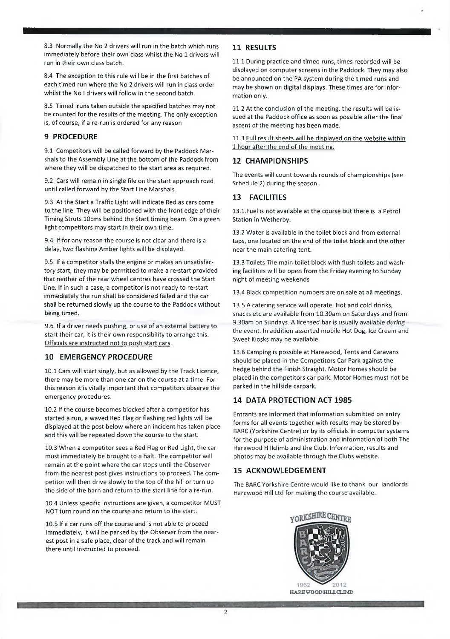8.3 Normally the No 2 drivers will run in the batch which runs immediately before their own class whilst the No 1 drivers will run in their own class batch.

8.4 The exception to this rule will be in the first batches of each timed run where the No 2 drivers will run in class order whilst the No I drivers will follow in the second batch.

8.5 Timed runs taken outside the specified batches may not be counted for the results of the meeting. The only exception is, of course, if a re-run is ordered for any reason

# **9 PROCEDURE**

9.1 Competitors will be called forward by the Paddock Marshals to the Assembly Line at the bottom of the Paddock from where they will be dispatched to the start area as required.

9.2 Cars will remain in single file on the start approach road until called forward by the Start Line Marshals.

9.3 At the Start a Traffic Light will indicate Red as cars come to the line. They will be positioned with the front edge of their Timing Struts lOcms behind the Start timing beam. On a green light competitors may start in their own time.

9.4 If for any reason the course is not clear and there is a delay, two flashing Amber lights will be displayed.

9.5 If a competitor stalls the engine or makes an unsatisfactory start, they may be permitted to make a re-start provided that neither of the rear wheel centres have crossed the Start Line. If in such a case, a competitor is not ready to re-start immediately the run shall be considered failed and the car shall be returned slowly up the course to the Paddock without being timed.

9.6 If a driver needs pushing, or use of an external battery to start their car, it is their own responsibility to arrange this. Officials are instructed not to push start cars.

# **10 EMERGENCY PROCEDURE**

10.1 Cars will start singly, but as allowed by the Track Licence, there may be more than one car on the course at a time. For this reason it is vitally important that competitors observe the emergency procedures.

10.2 If the course becomes blocked after a competitor has started a run, a waved Red Flag or flashing red lights will be displayed at the post below where an incident has taken place and this will be repeated down the course to the start.

10.3 When a competitor sees a Red Flag or Red Light, the car must immediately be brought to a halt. The competitor will remain at the point where the car stops until the Observer from the nearest post gives instructions to proceed. The competitor will then drive slowly to the top of the hill or turn up the side of the barn and return to the start line for a re-run.

10.4 Unless specific instructions are given, a competitor MUST NOT turn round on the course and return to the start.

10.5 If a car runs off the course and is not able to proceed immediately, it will be parked by the Observer from the nearest post in a safe place, clear of the track and will remain there until instructed to proceed.

# **11 RESULTS**

11.1 During practice and timed runs, times recorded will be displayed on computer screens in the Paddock. They may also be announced on the PA system during the timed runs and may be shown on digital displays. These times are for information only.

11.2 At the conclusion of the meeting, the results will be issued at the Paddock office as soon as possible after the final ascent of the meeting has been made.

11.3 Full result sheets will be displayed on the website within 1 hour after the end of the meeting.

# **12 CHAMPIONSHIPS**

The events will count towards rounds of championships (see Schedule 2) during the season.

# **13 FACILITIES**

13.1.Fuel is not available at the course but there is a Petrol Station in Wetherby.

13.2 Water is available in the toilet block and from external taps, one located on the end of the toilet block and the other near the main catering tent.

13.3 Toilets The main toilet block with flush toilets and washing facilities will be open from the Friday evening to Sunday night of meeting weekends

13.4 Black competition numbers are on sale at all meetings.

13.5 A catering service will operate. Hot and cold drinks, snacks etc are available from 10.30am on Saturdays and from 9.30am on Sundays. A licensed bar is usually available *during* the event. In addition assorted mobile Hot Dog, Ice Cream and Sweet Kiosks may be available.

13.6 Camping is possible at Harewood, Tents and Caravans should be placed in the Competitors Car Park against the hedge behind the Finish Straight. Motor Homes should be placed in the competitors car park. Motor Homes must not be parked in the hillside carpark.

# **14 DATA PROTECTION ACT 1985**

Entrants are informed that information submitted on entry forms for all events together with results may be stored by BARC (Yorkshire Centre) or by its officials in computer systems for the purpose of administration and information of both The Harewood Hillclimb and the Club. Information, results and photos may be available through the Clubs website.

# **15 ACKNOWLEDGEMENT**

The BARC Yorkshire Centre would like to thank our landlords Harewood Hill Ltd for making the course available.

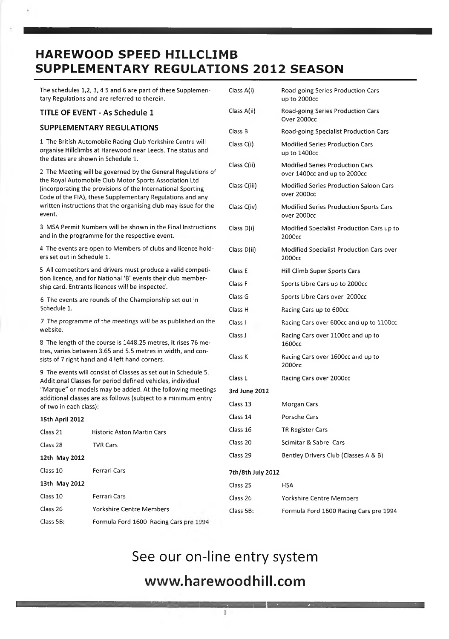# **HAREWOOD SPEED HILLCLIMB SUPPLEMENTARY REGULATIONS 2012 SEASON**

The schedules 1,2, 3, 4 5 and 6 are part of these Supplementary Regulations and are referred to therein.

# **TITLE OF EVENT - As Schedule 1**

# **SUPPLEMENTARY REGULATIONS**

1 The British Automobile Racing Club Yorkshire Centre will organise Hillclimbs at Harewood near Leeds. The status and the dates are shown in Schedule 1.

2 The Meeting will be governed by the General Regulations of the Royal Automobile Club Motor Sports Association Ltd (incorporating the provisions of the International Sporting Code of the FIA), these Supplementary Regulations and any written instructions that the organising club may issue for the event.

3 MSA Permit Numbers will be shown in the Final Instructions and in the programme for the respective event.

4 The events are open to Members of clubs and licence holders set out in Schedule 1.

5 All competitors and drivers must produce a valid competition licence, and for National 'B' events their club membership card. Entrants licences will be inspected.

6 The events are rounds of the Championship set out in Schedule 1.

7 The programme of the meetings will be as published on the website.

8 The length of the course is 1448.25 metres, it rises 76 metres, varies between 3.65 and 5.5 metres in width, and consists of 7 right hand and 4 left hand corners.

9 The events will consist of Classes as set out in Schedule 5. Additional Classes for period defined vehicles, individual "Marque" or models may be added. At the following meetings additional classes are as follows (subject to a minimum entry of two in each class):

# **15th April 2012** Class 21 Historic Aston Martin Cars Class 28 TVR Cars **12th May 2012** Class 10 Ferrari Cars **13th May 2012** Class 10 Ferrari Cars Class 26 Yorkshire Centre Members Class 5B: Formula Ford 1600 Racing Cars pre 1994

| Class A(i)         | Road-going Series Production Cars<br>up to 2000cc                      |
|--------------------|------------------------------------------------------------------------|
| Class A(ii)        | Road-going Series Production Cars<br>Over 2000cc                       |
| Class B            | Road-going Specialist Production Cars                                  |
| Class C(i)         | <b>Modified Series Production Cars</b><br>up to 1400cc                 |
| Class C(ii)        | <b>Modified Series Production Cars</b><br>over 1400cc and up to 2000cc |
| Class C(iii)       | Modified Series Production Saloon Cars<br>over 2000cc                  |
| Class C(iv)        | <b>Modified Series Production Sports Cars</b><br>over 2000cc           |
| Class D(i)         | Modified Specialist Production Cars up to<br>2000cc                    |
| Class D(ii)        | Modified Specialist Production Cars over<br>2000cc                     |
| Class E            | Hill Climb Super Sports Cars                                           |
| Class F            | Sports Libre Cars up to 2000cc                                         |
| Class G            | Sports Libre Cars over 2000cc                                          |
| Class <sub>H</sub> | Racing Cars up to 600cc                                                |
| Class I            | Racing Cars over 600cc and up to 1100cc                                |
| Class J            | Racing Cars over 1100cc and up to<br>1600cc                            |
| Class K            | Racing Cars over 1600cc and up to<br>2000cc                            |
| Class L            | Racing Cars over 2000cc                                                |
| 3rd June 2012      |                                                                        |
| Class 13           | Morgan Cars                                                            |
| Class 14           | Porsche Cars                                                           |
| Class 16           | <b>TR Register Cars</b>                                                |
| Class 20           | Scimitar & Sabre Cars                                                  |
| Class 29           | Bentley Drivers Club (Classes A & B)                                   |
| 7th/8th July 2012  |                                                                        |
| Class 25           | <b>HSA</b>                                                             |
| Class 26           | Yorkshire Centre Members                                               |
| Class 5B:          | Formula Ford 1600 Racing Cars pre 1994                                 |

# See our on-line entry system

# **[www.harewoodhill.com](http://www.harewoodhill.com)**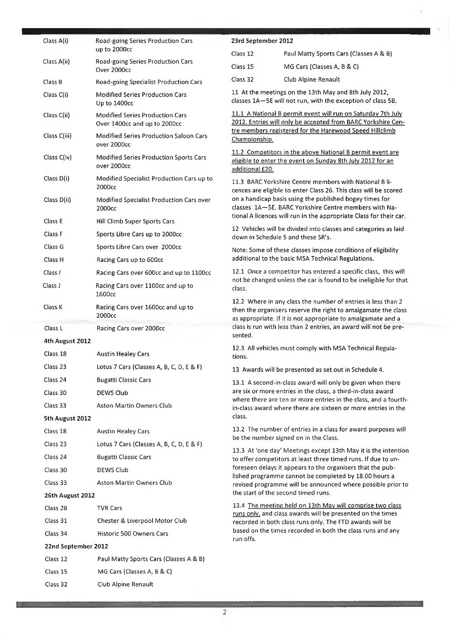| Class A(i)<br>Road-going Series Production Cars |                                                                        | 23rd September 2012                                                                                                                                                                           |                                                                                                                                                                                         |  |
|-------------------------------------------------|------------------------------------------------------------------------|-----------------------------------------------------------------------------------------------------------------------------------------------------------------------------------------------|-----------------------------------------------------------------------------------------------------------------------------------------------------------------------------------------|--|
|                                                 | up to 2000cc                                                           | Class 12                                                                                                                                                                                      | Paul Matty Sports Cars (Classes A & B)                                                                                                                                                  |  |
| Class A(ii)                                     | Road-going Series Production Cars<br>Over 2000cc                       | Class 15                                                                                                                                                                                      | MG Cars (Classes A, B & C)                                                                                                                                                              |  |
| Class B                                         | Road-going Specialist Production Cars                                  | Class 32                                                                                                                                                                                      | Club Alpine Renault                                                                                                                                                                     |  |
| Class C(i)                                      | Modified Series Production Cars<br>Up to 1400cc                        |                                                                                                                                                                                               | 11 At the meetings on the 13th May and 8th July 2012,<br>classes 1A-5E will not run, with the exception of class 5B.                                                                    |  |
| Class C(ii)                                     | <b>Modified Series Production Cars</b><br>Over 1400cc and up to 2000cc |                                                                                                                                                                                               | 11.1 A National B permit event will run on Saturday 7th July<br>2012. Entries will only be accepted from BARC Yorkshire Cen-<br>tre members registered for the Harewood Speed Hillclimb |  |
| Class C(iii)                                    | <b>Modified Series Production Saloon Cars</b><br>over 2000cc           | Championship.                                                                                                                                                                                 |                                                                                                                                                                                         |  |
| Class C(iv)                                     | Modified Series Production Sports Cars<br>over 2000cc                  | additional £20.                                                                                                                                                                               | 11.2 Competitors in the above National B permit event are<br>eligible to enter the event on Sunday 8th July 2012 for an                                                                 |  |
| Class D(i)                                      | Modified Specialist Production Cars up to<br>2000cc                    |                                                                                                                                                                                               | 11.3 BARC Yorkshire Centre members with National B li-<br>cences are eligible to enter Class 26. This class will be scored                                                              |  |
| Class D(ii)                                     | Modified Specialist Production Cars over<br>2000cc                     |                                                                                                                                                                                               | on a handicap basis using the published bogey times for<br>classes 1A-5E. BARC Yorkshire Centre members with Na-                                                                        |  |
| Class E                                         | Hill Climb Super Sports Cars                                           |                                                                                                                                                                                               | tional A licences will run in the appropriate Class for their car.                                                                                                                      |  |
| Class F                                         | Sports Libre Cars up to 2000cc                                         |                                                                                                                                                                                               | 12 Vehicles will be divided into classes and categories as laid<br>down in Schedule 5 and these SR's.                                                                                   |  |
| Class G                                         | Sports Libre Cars over 2000cc                                          | Note: Some of these classes impose conditions of eligibility                                                                                                                                  |                                                                                                                                                                                         |  |
| Class H                                         | Racing Cars up to 600cc                                                |                                                                                                                                                                                               | additional to the basic MSA Technical Regulations.                                                                                                                                      |  |
| Class I                                         | Racing Cars over 600cc and up to 1100cc                                | 12.1 Once a competitor has entered a specific class, this will<br>not be changed unless the car is found to be ineligible for that                                                            |                                                                                                                                                                                         |  |
| Class J                                         | Racing Cars over 1100cc and up to<br>1600cc                            | class.                                                                                                                                                                                        |                                                                                                                                                                                         |  |
|                                                 |                                                                        | 12.2 Where in any class the number of entries is less than 2<br>then the organisers reserve the right to amalgamate the class<br>as appropriate. If it is not appropriate to amalgamate and a |                                                                                                                                                                                         |  |
| Class K                                         | Racing Cars over 1600cc and up to<br>2000cc                            |                                                                                                                                                                                               |                                                                                                                                                                                         |  |
| Class L                                         | Racing Cars over 2000cc                                                |                                                                                                                                                                                               | class is run with less than 2 entries, an award will not be pre-                                                                                                                        |  |
| 4th August 2012                                 |                                                                        | sented.                                                                                                                                                                                       |                                                                                                                                                                                         |  |
| Class 18                                        | <b>Austin Healey Cars</b>                                              | tions.                                                                                                                                                                                        | 12.3 All vehicles must comply with MSA Technical Regula-                                                                                                                                |  |
| Class 23                                        | Lotus 7 Cars (Classes A, B, C, D, E & F)                               |                                                                                                                                                                                               | 13 Awards will be presented as set out in Schedule 4.                                                                                                                                   |  |
| Class 24                                        | <b>Bugatti Classic Cars</b>                                            |                                                                                                                                                                                               | 13.1 A second-in-class award will only be given when there                                                                                                                              |  |
| Class 30                                        | <b>DEWS Club</b>                                                       |                                                                                                                                                                                               | are six or more entries in the class, a third-in-class award                                                                                                                            |  |
| Class 33                                        | Aston Martin Owners Club                                               |                                                                                                                                                                                               | where there are ten or more entries in the class, and a fourth-<br>in-class award where there are sixteen or more entries in the                                                        |  |
| 5th August 2012                                 |                                                                        | class.                                                                                                                                                                                        |                                                                                                                                                                                         |  |
| Class 18                                        | <b>Austin Healey Cars</b>                                              |                                                                                                                                                                                               | 13.2 The number of entries in a class for award purposes will                                                                                                                           |  |
| Class <sub>23</sub>                             | Lotus 7 Cars (Classes A, B, C, D, E & F)                               |                                                                                                                                                                                               | be the number signed on in the Class.                                                                                                                                                   |  |
| Class 24                                        | <b>Bugatti Classic Cars</b>                                            |                                                                                                                                                                                               | 13.3 At 'one day' Meetings except 13th May it is the intention<br>to offer competitors at least three timed runs. If due to un-                                                         |  |
| Class 30                                        | DEWS Club                                                              |                                                                                                                                                                                               | foreseen delays it appears to the organisers that the pub-                                                                                                                              |  |
| Class 33                                        | <b>Aston Martin Owners Club</b>                                        |                                                                                                                                                                                               | lished programme cannot be completed by 18.00 hours a<br>revised programme will be announced where possible prior to                                                                    |  |
| 26th August 2012                                |                                                                        |                                                                                                                                                                                               | the start of the second timed runs.                                                                                                                                                     |  |
| Class 28                                        | <b>TVR Cars</b>                                                        |                                                                                                                                                                                               | 13.4 The meeting held on 13th May will comprise two class                                                                                                                               |  |
| Class 31                                        | Chester & Liverpool Motor Club                                         |                                                                                                                                                                                               | runs only, and class awards will be presented on the times<br>recorded in both class runs only. The FTD awards will be                                                                  |  |
| Class 34                                        | Historic 500 Owners Cars                                               |                                                                                                                                                                                               | based on the times recorded in both the class runs and any                                                                                                                              |  |
| 22nd September 2012                             |                                                                        | run offs.                                                                                                                                                                                     |                                                                                                                                                                                         |  |
| Class 12                                        | Paul Matty Sports Cars (Classes A & B)                                 |                                                                                                                                                                                               |                                                                                                                                                                                         |  |
| Class 15                                        | MG Cars (Classes A, B & C)                                             |                                                                                                                                                                                               |                                                                                                                                                                                         |  |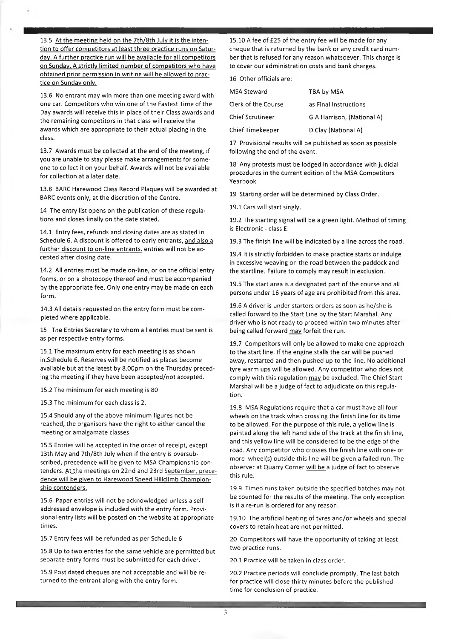13.5 At the meeting held on the 7th/8th July it is the intention to offer competitors at least three practice runs on Saturday. A further practice run will be available for all competitors on Sunday. A strictly limited number of competitors who have obtained prior permission in writing will be allowed to practice on Sunday only.

13.6 No entrant may win more than one meeting award with one car. Competitors who win one of the Fastest Time of the Day awards will receive this in place of their Class awards and the remaining competitors in that class will receive the awards which are appropriate to their actual placing in the class.

13.7 Awards must be collected at the end of the meeting, if you are unable to stay please make arrangements for someone to collect it on your behalf. Awards will not be available for collection at a later date.

13.8 BARC Harewood Class Record Plaques will be awarded at BARC events only, at the discretion of the Centre.

14 The entry list opens on the publication of these regulations and closes finally on the date stated.

14.1 Entry fees, refunds and closing dates are as stated in Schedule 6. A discount is offered to early entrants, and also a further discount to on-line entrants, entries will not be accepted after closing date.

14.2 All entries must be made on-line, or on the official entry forms, or on a photocopy thereof and must be accompanied by the appropriate fee. Only one entry may be made on each form.

14.3 All details requested on the entry form must be completed where applicable.

15 The Entries Secretary to whom all entries must be sent is as per respective entry forms.

15.1 The maximum entry for each meeting is as shown in.Schedule 6. Reserves will be notified as places become available but at the latest by 8.00pm on the Thursday preceding the meeting if they have been accepted/not accepted.

15.2 The minimum for each meeting is 80

15.3 The minimum for each class is 2.

15.4 Should any of the above minimum figures not be reached, the organisers have the right to either cancel the meeting or amalgamate classes.

15.5 Entries will be accepted in the order of receipt, except 13th May and 7th/8th July when if the entry is oversubscribed, precedence will be given to MSA Championship contenders. At the meetings on 22nd and 23rd September, precedence will be given to Harewood Speed Hillclimb Championship contenders.

15.6 Paper entries will not be acknowledged unless a self addressed envelope is included with the entry form. Provisional entry lists will be posted on the website at appropriate times.

15.7 Entry fees will be refunded as per Schedule 6

15.8 Up to two entries for the same vehicle are permitted but separate entry forms must be submitted for each driver.

15.9 Post dated cheques are not acceptable and will be re- 20.2 Practice periods will conclude promptly. The last batch

15.10 A fee of £25 of the entry fee will be made for any cheque that is returned by the bank or any credit card number that is refused for any reason whatsoever. This charge is to cover our administration costs and bank charges.

16 Other officials are:

| MSA Steward             | TBA by MSA                 |
|-------------------------|----------------------------|
| Clerk of the Course     | as Final Instructions      |
| <b>Chief Scrutineer</b> | G A Harrison, (National A) |
| <b>Chief Timekeeper</b> | D Clay (National A)        |

17 Provisional results will be published as soon as possible following the end of the event.

18 Any protests must be lodged in accordance with judicial procedures in the current edition of the MSA Competitors Yearbook

19 Starting order will be determined by Class Order.

19.1 Cars will start singly.

19.2 The starting signal will be a green light. Method of timing is Electronic - class E.

19.3 The finish line will be indicated by a line across the road.

19.4 It is strictly forbidden to make practice starts or indulge in excessive weaving on the road between the paddock and the startline. Failure to comply may result in exclusion.

19.5 The start area is a designated part of the course and all persons under 16 years of age are prohibited from this area.

19.6 A driver is under starters orders as soon as he/she is called forward to the Start Line by the Start Marshal. Any driver who is not ready to proceed within two minutes after being called forward may forfeit the run.

19.7 Competitors will only be allowed to make one approach to the start line. If the engine stalls the car will be pushed away, restarted and then pushed up to the line. No additional tyre warm ups will be allowed. Any competitor who does not comply with this regulation may be excluded. The Chief Start Marshal will be a judge of fact to adjudicate on this regulation.

19.8 MSA Regulations require that a car must have all four wheels on the track when crossing the finish line for its time to be allowed. For the purpose of this rule, a yellow line is painted along the left hand side of the track at the finish line, and this yellow line will be considered to be the edge of the road. Any competitor who crosses the finish line with one- or more wheel(s) outside this line will be given a failed run. The observer at Quarry Corner will be a judge of fact to observe this rule.

19.9 Timed runs taken outside the specified batches may not be counted for the results of the meeting. The only exception is if a re-run is ordered for any reason.

19.10 The artificial heating of tyres and/or wheels and special covers to retain heat are not permitted.

20 Competitors will have the opportunity of taking at least two practice runs.

20.1 Practice will be taken in class order.

turned to the entrant along with the entry form. For practice will close thirty minutes before the published time for conclusion of practice.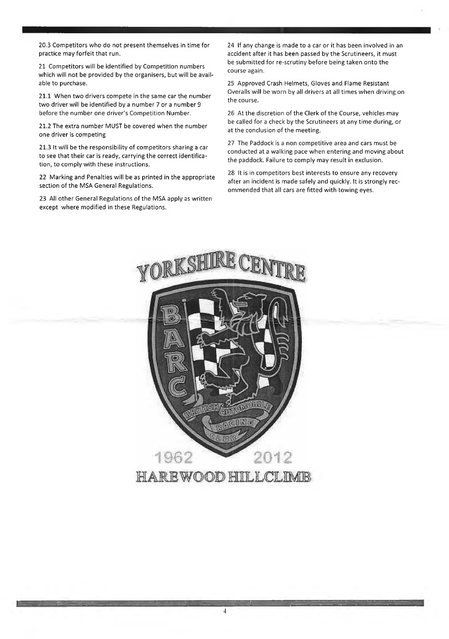20.3 Competitors who do not present themselves in time for practice may forfeit that run.

21 Competitors will be identified by Competition numbers which will not be provided by the organisers, but will be available to purchase.

21.1 When two drivers compete in the same car the number two driver will be identified by a number 7 or a number 9 before the number one driver's Competition Number.

21.2 The extra number MUST be covered when the number one driver is competing

21.3 It will be the responsibility of competitors sharing a car to see that their car is ready, carrying the correct identification, to comply with these instructions.

22 Marking and Penalties will be as printed in the appropriate section of the MSA General Regulations.

23 All other General Regulations of the MSA apply as written except where modified in these Regulations.

24 If any change is made to a car or it has been involved in an accident after it has been passed by the Scrutineers, it must be submitted for re-scrutiny before being taken onto the course again.

25 Approved Crash Helmets, Gloves and Flame Resistant Overalls will be worn by all drivers at all times when driving on the course.

26 At the discretion of the Clerk of the Course, vehicles may be called for a check by the Scrutineers at any time during, or at the conclusion of the meeting.

27 The Paddock is a non competitive area and cars must be conducted at a walking pace when entering and moving about the paddock. Failure to comply may result in exclusion.

28 It is in competitors best interests to ensure any recovery after an incident is made safely and quickly. It is strongly recommended that all cars are fitted with towing eyes.



I -------------------------------------------------------------------------------------- ----- ----V .....• • •

4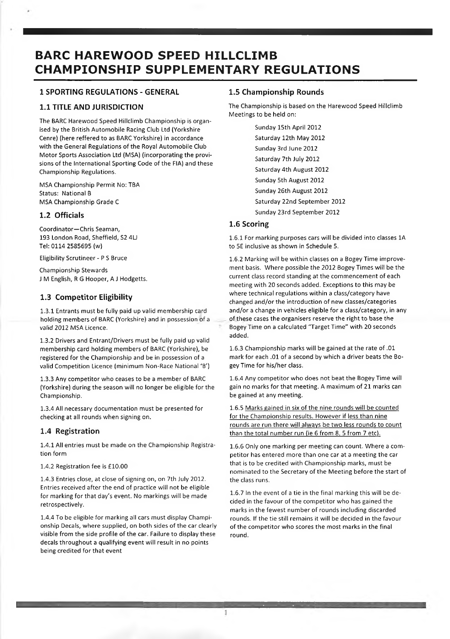# **BARC HAREWOOD SPEED HILLCLIMB CHAMPIONSHIP SUPPLEMENTARY REGULATIONS**

# **1 SPORTING REGULATIONS - GENERAL**

# **1.1 TITLE AND JURISDICTION**

The BARC Harewood Speed Hillclimb Championship is organised by the British Automobile Racing Club Ltd (Yorkshire Cenre) (here reffered to as BARC Yorkshire) in accordance with the General Regulations of the Royal Automobile Club Motor Sports Association Ltd (MSA) (incorporating the provisions of the International Sporting Code of the FIA) and these Championship Regulations.

MSA Championship Permit No: TBA Status: National B MSA Championship Grade C

# **1.2 Officials**

Coordinator—Chris Seaman, 193 London Road, Sheffield, S2 4LJ Tel: 0114 2585695 (w)

Eligibility Scrutineer - P S Bruce

Championship Stewards J M English, R G Hooper, A J Hodgetts.

# **1.3 Competitor Eligibility**

1.3.1 Entrants must be fully paid up valid membership card holding members of BARC (Yorkshire) and in possession of a valid 2012 MSA Licence.

1.3.2 Drivers and Entrant/Drivers must be fully paid up valid membership card holding members of BARC (Yorkshire), be registered for the Championship and be in possession of a valid Competition Licence (minimum Non-Race National 'B')

1.3.3 Any competitor who ceases to be a member of BARC (Yorkshire) during the season will no longer be eligible for the Championship.

1.3.4 All necessary documentation must be presented for checking at all rounds when signing on.

# **1.4 Registration**

1.4.1 All entries must be made on the Championship Registration form

1.4.2 Registration fee is £10.00

1.4.3 Entries close, at close of signing on, on 7th July 2012. Entries received after the end of practice will not be eligible for marking for that day's event. No markings will be made retrospectively.

1.4.4 To be eligible for marking all cars must display Championship Decals, where supplied, on both sides of the car clearly visible from the side profile of the car. Failure to display these decals throughout a qualifying event will result in no points being credited for that event

# **1.5 Championship Rounds**

The Championship is based on the Harewood Speed Hillclimb Meetings to be held on:

> Sunday 15th April 2012 Saturday 12th May 2012 Sunday 3rd June 2012 Saturday 7th July 2012 Saturday 4th August 2012 Sunday 5th August 2012 Sunday 26th August 2012 Saturday 22nd September 2012 Sunday 23rd September 2012

# **1.6 Scoring**

1.6.1 For marking purposes cars will be divided into classes 1A to 5E inclusive as shown in Schedule 5.

1.6.2 Marking will be within classes on a Bogey Time improvement basis. Where possible the 2012 Bogey Times will be the current class record standing at the commencement of each meeting with 20 seconds added. Exceptions to this may be where technical regulations within a class/category have changed and/or the introduction of new classes/categories and/or a change in vehicles eligible for a class/category, in any of these cases the organisers reserve the right to base the Bogey Time on a calculated "Target Time" with 20 seconds added.

1.6.3 Championship marks will be gained at the rate of .01 mark for each .01 of a second by which a driver beats the Bogey Time for his/her class.

1.6.4 Any competitor who does not beat the Bogey Time will gain no marks for that meeting. A maximum of 21 marks can be gained at any meeting.

1.6.5 Marks gained in six of the nine rounds will be counted for the Championship results. However if less than nine rounds are run there will always be two less rounds to count than the total number run (ie 6 from 8. 5 from 7 etc).

1.6.6 Only one marking per meeting can count. Where a competitor has entered more than one car at a meeting the car that is to be credited with Championship marks, must be nominated to the Secretary of the Meeting before the start of the class runs.

1.6.7 In the event of a tie in the final marking this will be decided in the favour of the competitor who has gained the marks in the fewest number of rounds including discarded rounds. If the tie still remains it will be decided in the favour of the competitor who scores the most marks in the final round.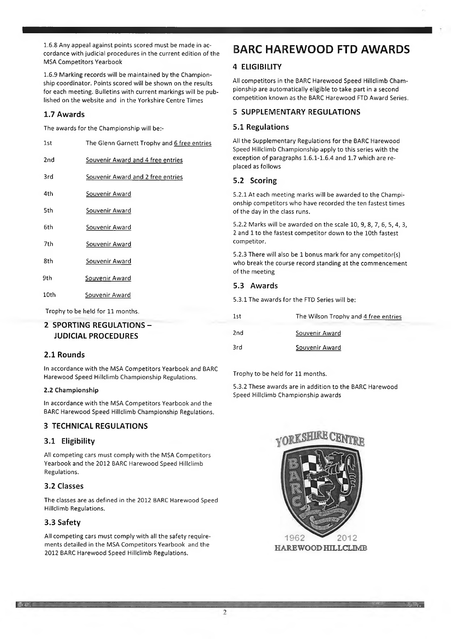1.6.8 Any appeal against points scored must be made in accordance with judicial procedures in the current edition of the MSA Competitors Yearbook

1.6.9 Marking records will be maintained by the Championship coordinator. Points scored will be shown on the results for each meeting. Bulletins with current markings will be published on the website and in the Yorkshire Centre Times

# **1.7 Awards**

The awards for the Championship will be:-

| 1st                              | The Glenn Garnett Trophy and 6 free entries |  |
|----------------------------------|---------------------------------------------|--|
| 2 <sub>nd</sub>                  | Souvenir Award and 4 free entries           |  |
| 3rd                              | Souvenir Award and 2 free entries           |  |
| 4th                              | Souvenir Award                              |  |
| 5th                              | Souvenir Award                              |  |
| 6th                              | Souvenir Award                              |  |
| 7th                              | Souvenir Award                              |  |
| 8th                              | Souvenir Award                              |  |
| 9th                              | <u>Souvenir</u> Award                       |  |
| 10th                             | Souvenir Award                              |  |
| Trophy to be held for 11 months. |                                             |  |
|                                  |                                             |  |

# **2 SPORTING REGULATIONS-JUDICIAL PROCEDURES**

# **2.1 Rounds**

In accordance with the MSA Competitors Yearbook and BARC Harewood Speed Hillclimb Championship Regulations.

#### **2.2 Championship**

In accordance with the MSA Competitors Yearbook and the BARC Harewood Speed Hillclimb Championship Regulations.

# **3 TECHNICAL REGULATIONS**

# **3.1 Eligibility**

All competing cars must comply with the MSA Competitors Yearbook and the 2012 BARC Harewood Speed Hillclimb Regulations.

# **3.2 Classes**

The classes are as defined in the 2012 BARC Harewood Speed Hillclimb Regulations.

# **3.3 Safety**

**■ ADC** 

All competing cars must comply with all the safety requirements detailed in the MSA Competitors Yearbook and the 2012 BARC Harewood Speed Hillclimb Regulations.

# BARC HAREWOOD FTD AWARDS

# **4 ELIGIBILITY**

All competitors in the BARC Harewood Speed Hillclimb Championship are automatically eligible to take part in a second competition known as the BARC Harewood FTD Award Series.

# **5 SUPPLEMENTARY REGULATIONS**

# **5.1 Regulations**

All the Supplementary Regulations for the BARC Harewood Speed Hillclimb Championship apply to this series with the exception of paragraphs 1.6.1-1.6.4 and 1.7 which are replaced as follows

# **5.2 Scoring**

5.2.1 At each meeting marks will be awarded to the Championship competitors who have recorded the ten fastest times of the day in the class runs.

5.2.2 Marks will be awarded on the scale 10, 9, 8, 7, 6, 5, 4, 3, 2 and 1 to the fastest competitor down to the 10th fastest competitor.

5.2.3 There will also be 1 bonus mark for any competitor(s) who break the course record standing at the commencement of the meeting

# **5.3 Awards**

5.3.1 The awards for the FTD Series will be:

| 1st | The Wilson Trophy and 4 free entries |
|-----|--------------------------------------|
| 2nd | Souvenir Award                       |
| 3rd | Souvenir Award                       |

Trophy to be held for 11 months.

5.3.2 These awards are in addition to the BARC Harewood Speed Hillclimb Championship awards



H I Z Z Z <sup>j</sup>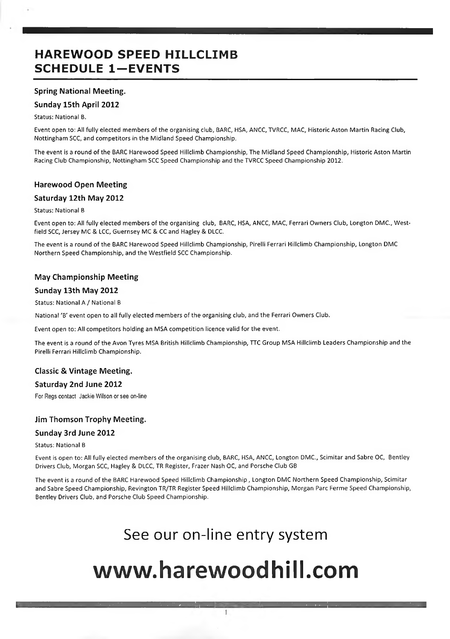# **HAREWOOD SPEED HILLCLIMB SCHEDULE 1-EVENTS**

# **Spring National Meeting.**

# **Sunday 15th April 2012**

Status: National B.

Event open to: All fully elected members of the organising club, BARC, HSA, ANCC, TVRCC, MAC, Historic Aston Martin Racing Club, Nottingham SCC, and competitors in the Midland Speed Championship.

The event is a round of the BARC Harewood Speed Hillclimb Championship, The Midland Speed Championship, Historic Aston Martin Racing Club Championship, Nottingham SCC Speed Championship and the TVRCC Speed Championship 2012.

# **Harewood Open Meeting**

# **Saturday 12th May 2012**

#### Status: National B

Event open to: All fully elected members of the organising club, BARC, HSA, ANCC, MAC, Ferrari Owners Club, Longton DMC., Westfield SCC, Jersey MC & LCC, Guernsey MC & CC and Hagley & DLCC.

The event is a round of the BARC Harewood Speed Hillclimb Championship, Pirelli Ferrari Hillclimb Championship, Longton DMC Northern Speed Championship, and the Westfield SCC Championship.

# **May Championship Meeting**

# **Sunday 13th May 2012**

Status: National A / National B

National 'B' event open to all fully elected members of the organising club, and the Ferrari Owners Club.

Event open to: All competitors holding an MSA competition licence valid for the event.

The event is a round of the Avon Tyres MSA British Hillclimb Championship, TTC Group MSA Hillclimb Leaders Championship and the Pirelli Ferrari Hillclimb Championship.

# **Classic & Vintage Meeting.**

# **Saturday 2nd June 2012**

For Regs contact Jackie Wilson or see on-line

# **Jim Thomson Trophy Meeting.**

# **Sunday 3rd June 2012**

#### Status: National B

Event is open to: All fully elected members of the organising club, BARC, HSA, ANCC, Longton DMC., Scimitar and Sabre OC, Bentley Drivers Club, Morgan SCC, Hagley & DLCC, TR Register, Frazer Nash OC, and Porsche Club GB

The event is a round of the BARC Harewood Speed Hillclimb Championship , Longton DMC Northern Speed Championship, Scimitar and Sabre Speed Championship, Revington TR/TR Register Speed Hillclimb Championship, Morgan Parc Ferme Speed Championship, Bentley Drivers Club, and Porsche Club Speed Championship.

# See our on-line entry system

# **[www.harewoodhill.com](http://www.harewoodhill.com)**

 $\mathbf{1}$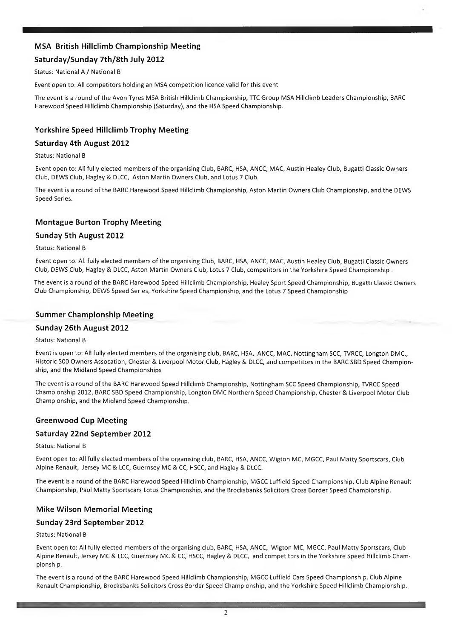# **MSA British Hiliclimb Championship Meeting**

# **Saturday/Sunday 7th/8th July 2012**

Status: National A / National B

Event open to: All competitors holding an MSA competition licence valid for this event

The event is a round of the Avon Tyres MSA British Hiliclimb Championship, TTC Group MSA Hiliclimb Leaders Championship, BARC Harewood Speed Hillclimb Championship (Saturday), and the HSA Speed Championship.

# **Yorkshire Speed Hiliclimb Trophy Meeting**

# **Saturday 4th August 2012**

Status: National B

Event open to: All fully elected members of the organising Club, BARC, HSA, ANCC, MAC, Austin Healey Club, Bugatti Classic Owners Club, DEWS Club, Hagley & DLCC, Aston Martin Owners Club, and Lotus 7 Club.

The event is a round of the BARC Harewood Speed Hiliclimb Championship, Aston Martin Owners Club Championship, and the DEWS Speed Series.

# **Montague Burton Trophy Meeting**

# **Sunday 5th August 2012**

Status: National B

Event open to: All fully elected members of the organising Club, BARC, HSA, ANCC, MAC, Austin Healey Club, Bugatti Classic Owners Club, DEWS Club, Hagley & DLCC, Aston Martin Owners Club, Lotus 7 Club, competitors in the Yorkshire Speed Championship .

The event is a round of the BARC Harewood Speed Hiliclimb Championship, Healey Sport Speed Championship, Bugatti Classic Owners Club Championship, DEWS Speed Series, Yorkshire Speed Championship, and the Lotus 7 Speed Championship

# **Summer Championship Meeting**

# **Sunday 26th August 2012**

Status: National B

Event is open to: All fully elected members of the organising club, BARC, HSA, ANCC, MAC, Nottingham SCC, TVRCC, Longton DMC., Historic 500 Owners Assocation, Chester & Liverpool Motor Club, Hagley & DLCC, and competitors in the BARC SBD Speed Championship, and the Midland Speed Championships

The event is a round of the BARC Harewood Speed Hiliclimb Championship, Nottingham SCC Speed Championship, TVRCC Speed Championship 2012, BARC SBD Speed Championship, Longton DMC Northern Speed Championship, Chester & Liverpool Motor Club Championship, and the Midland Speed Championship.

# **Greenwood Cup Meeting**

# **Saturday 22nd September 2012**

Status: National B

Event open to: All fully elected members of the organising club, BARC, HSA, ANCC, Wigton MC, MGCC, Paul Matty Sportscars, Club Alpine Renault, Jersey MC & LCC, Guernsey MC & CC, HSCC, and Hagley & DLCC.

The event is a round of the BARC Harewood Speed Hillclimb Championship, MGCC Luffield Speed Championship, Club Alpine Renault Championship, Paul Matty Sportscars Lotus Championship, and the Brocksbanks Solicitors Cross Border Speed Championship.

# **Mike Wilson Memorial Meeting**

# **Sunday 23rd September 2012**

#### Status: National B

Event open to: All fully elected members of the organising club, BARC, HSA, ANCC, Wigton MC, MGCC, Paul Matty Sportscars, Club Alpine Renault, Jersey MC & LCC, Guernsey MC & CC, HSCC, Hagley & DLCC, and competitors in the Yorkshire Speed Hillclimb Championship.

The event is a round of the BARC Harewood Speed Hillclimb Championship, MGCC Luffield Cars Speed Championship, Club Alpine Renault Championship, Brocksbanks Solicitors Cross Border Speed Championship, and the Yorkshire Speed Hillclimb Championship.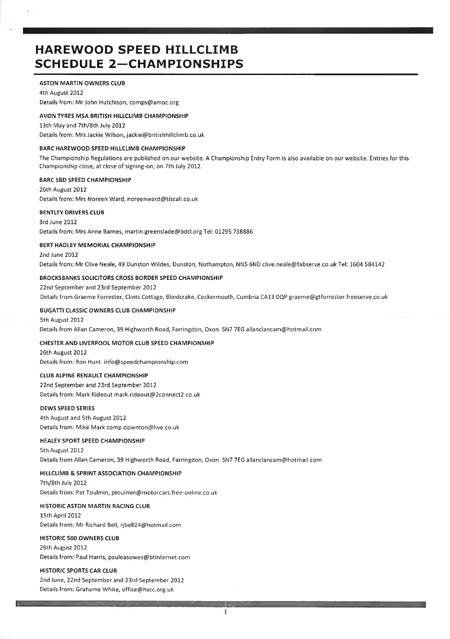# **HAREWOOD SPEED HILLCLIMB SCHEDULE 2—CHAMPIONSHIPS**

#### **ASTON MARTIN OWNERS CLUB**

4th August 2012 Details from: Mr John Hutchison, [comps@amoc.org](mailto:comps@amoc.org)

#### **AVON TYRES MSA BRITISH HILLCLIMB CHAMPIONSHIP**

13th May and 7th/8th July 2012 Details from: Mrs Jackie Wilson, [jackie@britishhillclimb.co.uk](mailto:jackie@britishhillclimb.co.uk)

#### **BARC HAREWOOD SPEED HILLCLIMB CHAMPIONSHIP**

The Championship Regulations are published on our website. A Championship Entry Form is also available on our website. Entries for this Championship close, at close of signing-on, on 7th July 2012.

#### **BARC SBD SPEED CHAMPIONSHIP**

26th August 2012 Details from: Mrs Noreen Ward, [noreenward@tiscali.co.uk](mailto:noreenward@tiscali.co.uk)

#### **BENTLEY DRIVERS CLUB**

3rd June 2012 Details from: Mrs Anne Barnes, [martin.greenslade@bdcl.org](mailto:martin.greenslade@bdcl.org) Tel: 01295 738886

#### **BERT HADLEY MEMORIAL CHAMPIONSHIP**

2nd June 2012 Details from: Mr Clive Neale, 49 Dunston Wildes, Dunston, Nothampton, NN5 6ND [clive.neale@fabserve.co.uk](mailto:clive.neale@fabserve.co.uk) Tel: 1604 584142

#### **BROCKSBANKS SOLICITORS CROSS BORDER SPEED CHAMPIONSHIP**

22nd September and 23rd September 2012 Details from Graeme Forrester, Clints Cottage, Blindcrake, Cockermouth, Cumbria CA13 OQP [graeme@gtforrester.freeserve.co.uk](mailto:graeme@gtforrester.freeserve.co.uk)

#### **BUGATTI CLASSIC OWNERS CLUB CHAMPIONSHIP**

#### 5th August 2012 Details from Allan Cameron, 39 Highworth Road, Farringdon, Oxon. SN7 7EG [allanclancam@hotmail.com](mailto:allanclancam@hotmail.com)

#### **CHESTER AND LIVERPOOL MOTOR CLUB SPEED CHAMPIONSHIP**

26th August 2012 Details from: Ron Hunt [info@speedchampionship.com](mailto:info@speedchampionship.com)

#### **CLUB ALPINE RENAULT CHAMPIONSHIP**

22nd September and 23rd September 2012 Details from: Mark Rideout [mark.rideout@2connect2.co.uk](mailto:mark.rideout@2connect2.co.uk)

#### **DEWS SPEED SERIES**

4th August and 5th August 2012 Details from: Mike Mark [comp.downton@live.co.uk](mailto:comp.downton@live.co.uk)

#### **HEALEY SPORT SPEED CHAMPIONSHIP**

5th August 2012 Details from Allan Cameron, 39 Highworth Road, Farringdon, Oxon. SN7 7EG [allanclancam@hotmail.com](mailto:allanclancam@hotmail.com)

#### **HILLCLIMB & SPRINT ASSOCIATION CHAMPIONSHIP**

7th/8th July 2012 Details from: Pat Toulmin, [ptoulmin@motorcars.free-online.co.uk](mailto:ptoulmin@motorcars.free-online.co.uk)

#### **HISTORIC ASTON MARTIN RACING CLUB**

15th April 2012 Details from: Mr Richard Bell, [rjbell24@hotmail.com](mailto:rjbell24@hotmail.com)

#### **HISTORIC 500 OWNERS CLUB**

26th August 2012 Details from: Paul Harris, [pauleasowes@btinternet.com](mailto:pauleasowes@btinternet.com)

#### **HISTORIC SPORTS CAR CLUB**

2nd June, 22nd September and 23rd September 2012 Details from: Grahame White, [office@hscc.org.uk](mailto:office@hscc.org.uk)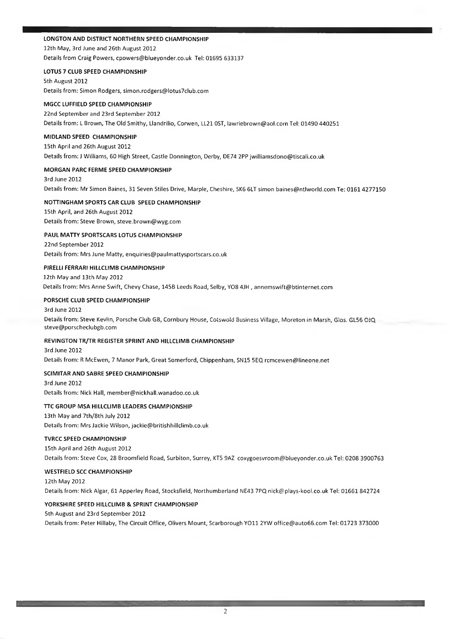#### **LONGTON AND DISTRICT NORTHERN SPEED CHAMPIONSHIP**

12th May, 3rd June and 26th August 2012 Details from Craig Powers, [cpowers@blueyonder.co.uk](mailto:cpowers@blueyonder.co.uk) Tel: 01695 633137

#### **LOTUS 7 CLUB SPEED CHAMPIONSHIP**

5th August 2012 Details from: Simon Rodgers, [simon.rodgers@lotus7club.com](mailto:simon.rodgers@lotus7club.com)

# **MGCC LUFFIELD SPEED CHAMPIONSHIP**

22nd September and 23rd September 2012 Details from: L Brown, The Old Smithy, Llandrilio, Corwen, LL21 OST, [lawriebrown@aol.com](mailto:lawriebrown@aol.com) Tel: 01490 440251

#### **MIDLAND SPEED CHAMPIONSHIP**

15th April and 26th August 2012 Details from: J Williams, 60 High Street, Castle Donnington, Derby, DE74 2PP [jwilliamsdono@tiscali.co.uk](mailto:jwilliamsdono@tiscali.co.uk)

#### **MORGAN PARC FERME SPEED CHAMPIONSHIP**

3rd June 2012 Details from: Mr Simon Baines, 31 Seven Stiles Drive, Marple, Cheshire, SK6 6LT simon [baines@ntlworld.com](mailto:baines@ntlworld.com) Te: 0161 4277150

# **NOTTINGHAM SPORTS CAR CLUB SPEED CHAMPIONSHIP**

15th April, and 26th August 2012 Details from: Steve Brown, [steve.brown@wyg.com](mailto:steve.brown@wyg.com)

#### **PAUL MATTY SPORTSCARS LOTUS CHAMPIONSHIP**

22nd September 2012 Details from: Mrs June Matty, [enquiries@paulmattysportscars.co.uk](mailto:enquiries@paulmattysportscars.co.uk)

# **PIRELLI FERRARI HILLCLIMB CHAMPIONSHIP**

12th May and 13th May 2012 Details from: Mrs Anne Swift, Chevy Chase, 145B Leeds Road, Selby, Y08 4JH , [annemswift@btinternet.com](mailto:annemswift@btinternet.com)

#### **PORSCHE CLUB SPEED CHAMPIONSHIP**

#### 3rd June 2012 Details from: Steve Kevlin, Porsche Club GB, Cornbury House, Cotswold Business Village, Moreton in Marsh, Glos. GL56 QJQ [steve@porscheclubgb.com](mailto:steve@porscheclubgb.com)

#### **REVINGTON TR/TR REGISTER SPRINT AND HILLCLIMB CHAMPIONSHIP**

3rd June 2012 Details from: R McEwen, 7 Manor Park, Great Somerford, Chippenham, SN15 5EQ [rcmcewen@lineone.net](mailto:rcmcewen@lineone.net)

# **SCIMITAR AND SABRE SPEED CHAMPIONSHIP**

3rd June 2012 Details from: Nick Hall, [member@nickhall.wanadoo.co.uk](mailto:member@nickhall.wanadoo.co.uk)

# **TTC GROUP MSA HILLCLIMB LEADERS CHAMPIONSHIP**

13th May and 7th/8th July 2012 Details from: Mrs Jackie Wilson, [jackie@britishhillclimb.co.uk](mailto:jackie@britishhillclimb.co.uk)

#### **TVRCC SPEED CHAMPIONSHIP**

15th April and 26th August 2012 Details from: Steve Cox, 28 Broomfield Road, Surbiton, Surrey, KT5 9AZ [coxygoesvroom@blueyonder.co.uk](mailto:coxygoesvroom@blueyonder.co.uk) Tel: 0208 3900763

#### **WESTFIELD SCC CHAMPIONSHIP**

12th May 2012 Details from: Nick Algar, 61 Apperley Road, Stocksfield, Northumberland NE43 7PQ [nick@plays-kool.co.uk](mailto:nick@plays-kool.co.uk) Tel: 01661 842724

#### **YORKSHIRE SPEED HILLCLIMB & SPRINT CHAMPIONSHIP**

5th August and 23rd September 2012

Details from: Peter Hillaby, The Circuit Office, Olivers Mount, Scarborough YO11 2YW [office@auto66.com](mailto:office@auto66.com) Tel: 01723 373000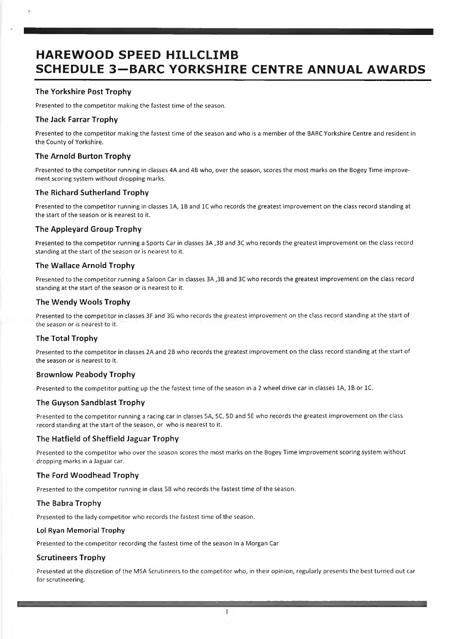# **HAREWOOD SPEED HILLCLIMB SCHEDULE 3—BARC YORKSHIRE CENTRE ANNUAL AWARDS**

# **The Yorkshire Post Trophy**

Presented to the competitor making the fastest time of the season.

# **The Jack Farrar Trophy**

Presented to the competitor making the fastest time of the season and who is a member of the BARC Yorkshire Centre and resident in the County of Yorkshire.

# **The Arnold Burton Trophy**

Presented to the competitor running in classes 4A and 4B who, over the season, scores the most marks on the Bogey Time improvement scoring system without dropping marks.

# **The Richard Sutherland Trophy**

Presented to the competitor running in classes 1A, IB and 1C who records the greatest improvement on the class record standing at the start of the season or is nearest to it.

# **The Appleyard Group Trophy**

Presented to the competitor running a Sports Car in classes 3A ,3B and 3C who records the greatest improvement on the class record standing at the start of the season or is nearest to it.

#### **The Wallace Arnold Trophy**

Presented to the competitor running a Saloon Car in classes 3A ,3B and 3C who records the greatest improvement on the class record standing at the start of the season or is nearest to it.

#### **The Wendy Wools Trophy**

Presented to the competitor in classes 3F and 3G who records the greatest improvement on the class record standing at the start of *the* season or is nearest to it.

# **The Total Trophy**

Presented to the competitor in classes 2A and 2B who records the greatest improvement on the class record standing at the start of the season or is nearest to it.

#### **Brownlow Peabody Trophy**

Presented to the competitor putting up the the fastest time of the season in a 2 wheel drive car in classes 1A, IB or 1C.

# **The Guyson Sandblast Trophy**

Presented to the competitor running a racing car in classes 5A, 5C, 5D and 5E who records the greatest improvement on the class record standing at the start of the season, or who is nearest to it.

#### **The Hatfield of Sheffield Jaguar Trophy**

Presented to the competitor who over the season scores the most marks on the Bogey Time improvement scoring system without dropping marks in a Jaguar car.

# **The Ford Woodhead Trophy**

Presented to the competitor running in class 5B who records the fastest time of the season.

#### **The Babra Trophy**

Presented to the lady competitor who records the fastest time of the season.

#### Lol Ryan Memorial Trophy

Presented to the competitor recording the fastest time of the season in a Morgan Car

#### **Scrutineers Trophy**

Presented at the discretion of the MSA Scrutineers to the competitor who, in their opinion, regularly presents the best turned out car for scrutineering.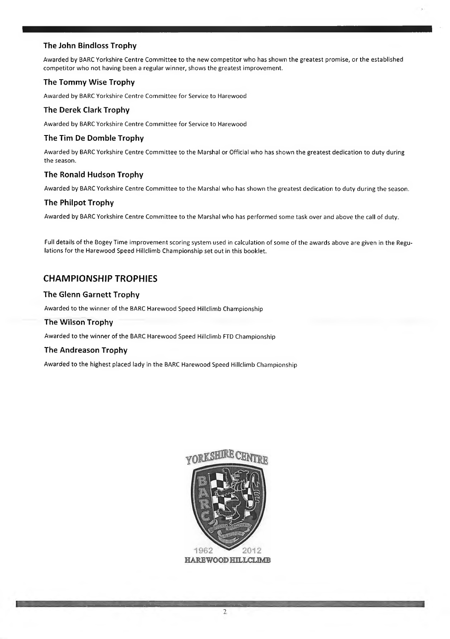# **The John Bindloss Trophy**

Awarded by BARC Yorkshire Centre Committee to the new competitor who has shown the greatest promise, or the established competitor who not having been a regular winner, shows the greatest improvement.

# **The Tommy Wise Trophy**

Awarded by BARC Yorkshire Centre Committee for Service to Harewood

# **The Derek Clark Trophy**

Awarded by BARC Yorkshire Centre Committee for Service to Harewood

# **The Tim De Domble Trophy**

Awarded by BARC Yorkshire Centre Committee to the Marshal or Official who has shown the greatest dedication to duty during the season.

# **The Ronald Hudson Trophy**

Awarded by BARC Yorkshire Centre Committee to the Marshal who has shown the greatest dedication to duty during the season.

# **The Philpot Trophy**

Awarded by BARC Yorkshire Centre Committee to the Marshal who has performed some task over and above the call of duty.

Full details of the Bogey Time improvement scoring system used in calculation of some of the awards above are given in the Regulations for the Harewood Speed Hillclimb Championship set out in this booklet.

# **CHAMPIONSHIP TROPHIES**

# **The Glenn Garnett Trophy**

Awarded to the winner of the BARC Harewood Speed Hillclimb Championship

# **The Wilson Trophy**

Awarded to the winner of the BARC Harewood Speed Hillclimb FTD Championship

# **The Andreason Trophy**

Awarded to the highest placed lady in the BARC Harewood Speed Hillclimb Championship



**HAREWOOD HILLCLIME**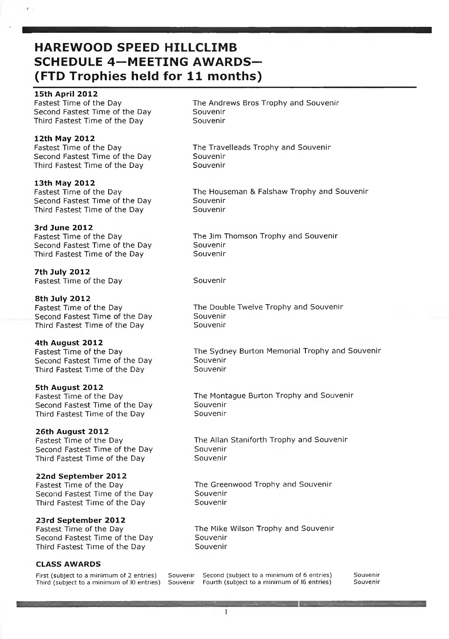# **HAREWOOD SPEED HILLCLIMB SCHEDULE 4-MEETING AWARDS- (FTD Trophies held for 11 months)**

# **15th April 2012**

Fastest Time of the Day Second Fastest Time of the Day Third Fastest Time of the Day

# **12th M ay 2012**

Fastest Time of the Day Second Fastest Time of the Day Third Fastest Time of the Day

# **13th May 2012**

Fastest Time of the Day Second Fastest Time of the Day Third Fastest Time of the Day

# **3rd Ju n e 2012**

Fastest Time of the Day Second Fastest Time of the Day Third Fastest Time of the Day

7th July 2012 Fastest Time of the Day Souvenir

#### 8th July 2012 Fastest Time of the Day Second Fastest Time of the Day Third Fastest Time of the Day

# **4th August 2012**

Fastest Time of the Day Second Fastest Time of the Day Third Fastest Time of the Day

# **5th August 2012**

Fastest Time of the Day Second Fastest Time of the Day Third Fastest Time of the Day

# **26th August 2012**

Fastest Time of the Day Second Fastest Time of the Day Third Fastest Time of the Day

# **22nd September 2012**

Fastest Time of the Day Second Fastest Time of the Day Third Fastest Time of the Day

# **23rd September 2012**

Fastest Time of the Day Second Fastest Time of the Day Third Fastest Time of the Day

# **CLASS AWARDS**

First (subject to a minimum of 2 entries) Third (subject to a minimum of 10 entries) The Andrews Bros Trophy and Souvenir **Souvenir Souvenir** 

The Travelleads Trophy and Souvenir **Souvenir Souvenir** 

The Houseman & Falshaw Trophy and Souvenir **Souvenir Souvenir** 

The Jim Thomson Trophy and Souvenir **Souvenir Souvenir** 

The Double Twelve Trophy and Souvenir **Souvenir** Souvenir

The Sydney Burton Memorial Trophy and Souvenir **Souvenir Souvenir** 

The Montague Burton Trophy and Souvenir **Souvenir Souvenir** 

The Allan Staniforth Trophy and Souvenir **Souvenir Souvenir** 

The Greenwood Trophy and Souvenir **Souvenir Souvenir** 

The Mike Wilson Trophy and Souvenir **Souvenir Souvenir** 

Souvenir Second (subject to a minimum of 6 entries) Souvenir<br>Souvenir Fourth (subject to a minimum of 16 entries) Souvenir Fourth (subject to a minimum of 16 entries)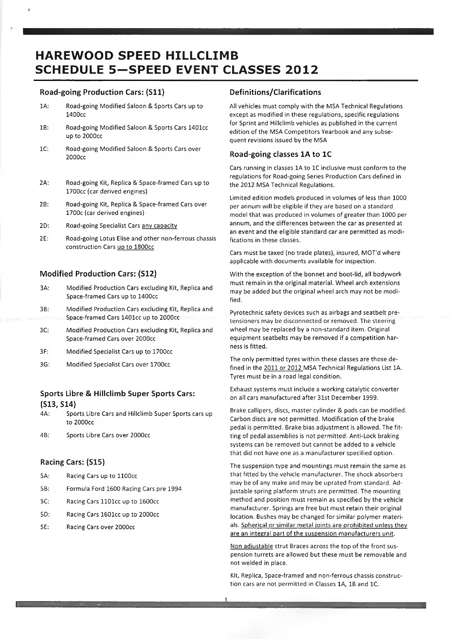# **HAREWOOD SPEED HILLCLIMB SCHEDULE 5-SPEED EVENT CLASSES 2012**

# **Road-going Production Cars: (S11)**

- 1A: Road-going Modified Saloon & Sports Cars up to 1400cc
- IB: Road-going Modified Saloon & Sports Cars 1401cc up to 2000cc
- 1C: Road-going Modified Saloon & Sports Cars over 2000cc
- 2A: Road-going Kit, Replica & Space-framed Cars up to 1700cc (car derived engines)
- 2B: Road-going Kit, Replica & Space-framed Cars over 1700c (car derived engines)
- 2D: Road-going Specialist Cars any capacity
- 2E: Road-going Lotus Elise and other non-ferrous chassis construction Cars up to 1800cc

# **Modified Production Cars: (S12)**

- 3A: Modified Production Cars excluding Kit, Replica and Space-framed Cars up to 1400cc
- 3B: Modified Production Cars excluding Kit, Replica and Space-framed Cars 1401cc up to 2000cc
- 3C: Modified Production Cars excluding Kit, Replica and Space-framed Cars over 2000cc
- 3F: Modified Specialist Cars up to 1700cc
- 3G: Modified Specialist Cars over 1700cc

# **Sports Libre & Hillclimb Super Sports Cars: (S13, S14)**

- 4A: Sports Libre Cars and Hillclimb Super Sports cars up to 2000cc
- 4B: Sports Libre Cars over 2000cc

# **Racing Cars: (S15)**

- 5A: Racing Cars up to 1100cc
- 5B: Formula Ford 1600 Racing Cars pre 1994
- 5C: Racing Cars 1101cc up to 1600cc
- 5D: Racing Cars 1601cc up to 2000cc
- 5E: Racing Cars over 2000cc

# **Definitions/Clarifications**

All vehicles must comply with the MSA Technical Regulations except as modified in these regulations, specific regulations for Sprint and Hillclimb vehicles as published in the current edition of the MSA Competitors Yearbook and any subsequent revisions issued by the MSA

#### **Road-going classes 1A to 1C**

Cars running in classes 1A to 1C inclusive must conform to the regulations for Road-going Series Production Cars defined in the 2012 MSA Technical Regulations.

Limited edition models produced in volumes of less than 1000 per annum will be eligible if they are based on a standard model that was produced in volumes of greater than 1000 per annum, and the differences between the car as presented at an event and the eligible standard car are permitted as modifications in these classes.

Cars must be taxed (no trade plates), insured, MOT'd where applicable with documents available for inspection.

With the exception of the bonnet and boot-lid, all bodywork must remain in the original material. Wheel arch extensions may be added but the original wheel arch may not be modified.

Pyrotechnic safety devices such as airbags and seatbelt pretensioners may be disconnected or removed. The steering wheel may be replaced by a non-standard item. Original equipment seatbelts may be removed if a competition harness is fitted.

The only permitted tyres within these classes are those defined in the 2011 or 2012 MSA Technical Regulations List 1A. Tyres must be in a road legal condition.

Exhaust systems must include a working catalytic converter on all cars manufactured after 31st December 1999.

Brake callipers, discs, master cylinder & pads can be modified. Carbon discs are not permitted. Modification of the brake pedal is permitted. Brake bias adjustment is allowed. The fitting of pedal assemblies is not permitted. Anti-Lock braking systems can be removed but cannot be added to a vehicle that did not have one as a manufacturer specified option.

The suspension type and mountings must remain the same as that fitted by the vehicle manufacturer. The shock absorbers may be of any make and may be uprated from standard. Adjustable spring platform struts are permitted. The mounting method and position must remain as specified by the vehicle manufacturer. Springs are free but must retain their original location. Bushes may be changed for similar polymer materials. Spherical or similar metal joints are prohibited unless they are an integral part of the suspension manufacturers unit.

Non adjustable strut Braces across the top of the front suspension turrets are allowed but these must be removable and not welded in place.

Kit, Replica, Space-framed and non-ferrous chassis construction cars are not permitted in Classes 1A, IB and 1C.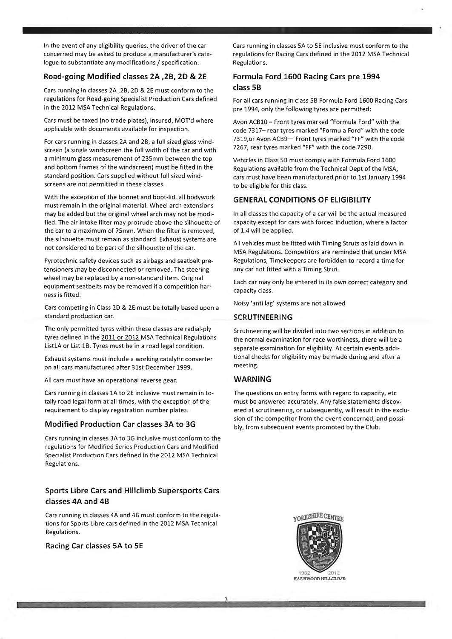In the event of any eligibility queries, the driver of the car concerned may be asked to produce a manufacturer's catalogue to substantiate any modifications / specification.

#### **Road-going Modified classes 2A ,2B, 2D & 2E**

Cars running in classes 2A ,2B, 2D & 2E must conform to the regulations for Road-going Specialist Production Cars defined in the 2012 MSA Technical Regulations.

Cars must be taxed (no trade plates), insured, MOT'd where applicable with documents available for inspection.

For cars running in classes 2A and 2B, a full sized glass windscreen (a single windscreen the full width of the car and with a minimum glass measurement of 235mm between the top and bottom frames of the windscreen) must be fitted in the standard position. Cars supplied without full sized windscreens are not permitted in these classes.

With the exception of the bonnet and boot-lid, all bodywork must remain in the original material. Wheel arch extensions may be added but the original wheel arch may not be modified. The air intake filter may protrude above the silhouette of the car to a maximum of 75mm. When the filter is removed, the silhouette must remain as standard. Exhaust systems are not considered to be part of the silhouette of the car.

Pyrotechnic safety devices such as airbags and seatbelt pretensioners may be disconnected or removed. The steering wheel may be replaced by a non-standard item. Original equipment seatbelts may be removed if a competition harness is fitted.

Cars competing in Class 2D & 2E must be totally based upon a standard production car.

The only permitted tyres within these classes are radial-ply tyres defined in the 2011 or 2012 MSA Technical Regulations ListlA or List IB. Tyres must be in a road legal condition.

Exhaust systems must include a working catalytic converter on all cars manufactured after 31st December 1999.

All cars must have an operational reverse gear.

Cars running in classes 1A to 2E inclusive must remain in totally road legal form at all times, with the exception of the requirement to display registration number plates.

#### **Modified Production Car classes 3A to 3G**

Cars running in classes 3A to 3G inclusive must conform to the regulations for Modified Series Production Cars and Modified Specialist Production Cars defined in the 2012 MSA Technical Regulations.

# **Sports Libre Cars and Hillclimb Supersports Cars classes 4A and 4B**

Cars running in classes 4A and 4B must conform to the regulations for Sports Libre cars defined in the 2012 MSA Technical Regulations.

**Racing Car classes 5A to 5E**

Cars running in classes 5A to 5E inclusive must conform to the regulations for Racing Cars defined in the 2012 MSA Technical Regulations.

# **Formula Ford 1600 Racing Cars pre 1994 class 5B**

For all cars running in class 5B Formula Ford 1600 Racing Cars pre 1994, only the following tyres are permitted:

Avon ACB10 - Front tyres marked "Formula Ford" with the code 7317- rear tyres marked "Formula Ford" with the code 7319,or Avon ACB9— Front tyres marked "FF" with the code 7267, rear tyres marked "FF" with the code 7290.

Vehicles in Class 5B must comply with Formula Ford 1600 Regulations available from the Technical Dept of the MSA, cars must have been manufactured prior to 1st January 1994 to be eligible for this class.

#### **GENERAL CONDITIONS OF ELIGIBILITY**

In all classes the capacity of a car will be the actual measured capacity except for cars with forced induction, where a factor of 1.4 will be applied.

All vehicles must be fitted with Timing Struts as laid down in MSA Regulations. Competitors are reminded that under MSA Regulations, Timekeepers are forbidden to record a time for any car not fitted with a Timing Strut.

Each car may only be entered in its own correct category and capacity class.

Noisy 'anti lag' systems are not allowed

#### **SCRUTINEERING**

Scrutineering will be divided into two sections in addition to the normal examination for race worthiness, there will be a separate examination for eligibility. At certain events additional checks for eligibility may be made during and after a meeting.

#### **WARNING**

The questions on entry forms with regard to capacity, etc must be answered accurately. Any false statements discovered at scrutineering, or subsequently, will result in the exclusion of the competitor from the event concerned, and possibly, from subsequent events promoted by the Club.



-----------------------------------.-----------------------------------------------------------------------—------------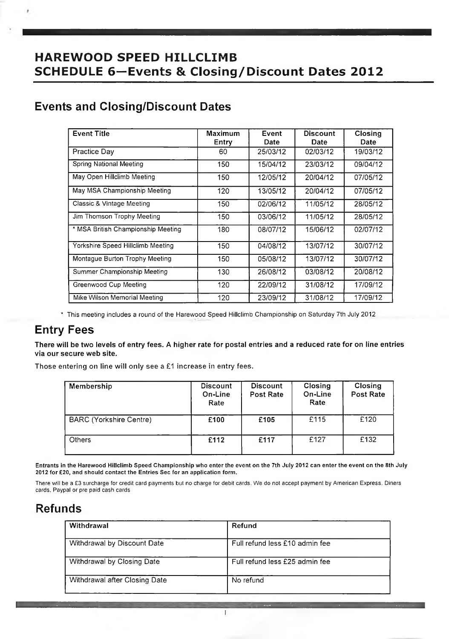# **HAREWOOD SPEED HILLCLIMB SCHEDULE 6—Events & Closing/Discount Dates 2012**

# **Events and Closing/Discount Dates**

| <b>Event Title</b>                 | Maximum | Event    | <b>Discount</b> | Closing  |
|------------------------------------|---------|----------|-----------------|----------|
|                                    | Entry   | Date     | Date            | Date     |
| Practice Day                       | 60      | 25/03/12 | 02/03/12        | 19/03/12 |
| Spring National Meeting            | 150     | 15/04/12 | 23/03/12        | 09/04/12 |
| May Open Hillclimb Meeting         | 150     | 12/05/12 | 20/04/12        | 07/05/12 |
| May MSA Championship Meeting       | 120     | 13/05/12 | 20/04/12        | 07/05/12 |
| Classic & Vintage Meeting          | 150     | 02/06/12 | 11/05/12        | 28/05/12 |
| Jim Thomson Trophy Meeting         | 150     | 03/06/12 | 11/05/12        | 28/05/12 |
| * MSA British Championship Meeting | 180     | 08/07/12 | 15/06/12        | 02/07/12 |
| Yorkshire Speed Hillclimb Meeting  | 150     | 04/08/12 | 13/07/12        | 30/07/12 |
| Montague Burton Trophy Meeting     | 150     | 05/08/12 | 13/07/12        | 30/07/12 |
| Summer Championship Meeting        | 130     | 26/08/12 | 03/08/12        | 20/08/12 |
| Greenwood Cup Meeting              | 120     | 22/09/12 | 31/08/12        | 17/09/12 |
| Mike Wilson Memorial Meeting       | 120     | 23/09/12 | 31/08/12        | 17/09/12 |

\* This meeting includes a round of the Harewood Speed Hillclimb Championship on Saturday 7th July 2012

# **Entry Fees**

**There will be two levels of entry fees. A higher rate for postal entries and a reduced rate for on line entries via our secure web site.**

Those entering on line will only see a £1 increase in entry fees.

| Membership                     | <b>Discount</b><br>On-Line<br>Rate | <b>Discount</b><br>Post Rate | Closing<br>On-Line<br>Rate | Closing<br>Post Rate |
|--------------------------------|------------------------------------|------------------------------|----------------------------|----------------------|
| <b>BARC (Yorkshire Centre)</b> | £100                               | £105                         | £115                       | £120                 |
| <b>Others</b>                  | £112                               | £117                         | £127                       | £132                 |

Entrants in the Harewood Hillclimb Speed Championship who enter the event on the 7th July 2012 can enter the event on the 8th July 2012 for £20, and should contact the Entries Sec for an application form.

There will be a £3 surcharge for credit card payments but no charge for debit cards. We do not accept payment by American Express. Diners cards. Paypal or pre paid cash cards

# **Refunds**

| Withdrawal                    | Refund                         |
|-------------------------------|--------------------------------|
| Withdrawal by Discount Date   | Full refund less £10 admin fee |
| Withdrawal by Closing Date    | Full refund less £25 admin fee |
| Withdrawal after Closing Date | No refund                      |